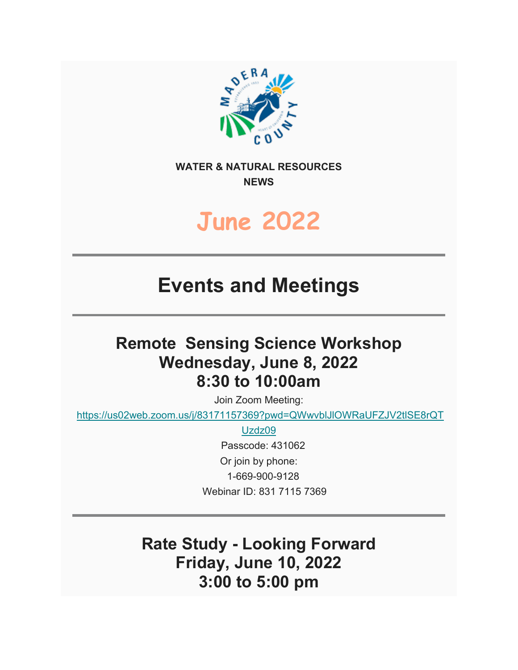

**WATER & NATURAL RESOURCES NEWS**

# **June 2022**

## **Events and Meetings**

### **Remote Sensing Science Workshop Wednesday, June 8, 2022 8:30 to 10:00am**

Join Zoom Meeting:

[https://us02web.zoom.us/j/83171157369?pwd=QWwvblJlOWRaUFZJV2tlSE8rQT](https://us02web.zoom.us/j/83171157369?pwd=QWwvblJlOWRaUFZJV2tlSE8rQTUzdz09)

[Uzdz09](https://us02web.zoom.us/j/83171157369?pwd=QWwvblJlOWRaUFZJV2tlSE8rQTUzdz09)

 Passcode: 431062 Or join by phone: 1-669-900-9128 Webinar ID: 831 7115 7369

**Rate Study - Looking Forward Friday, June 10, 2022 3:00 to 5:00 pm**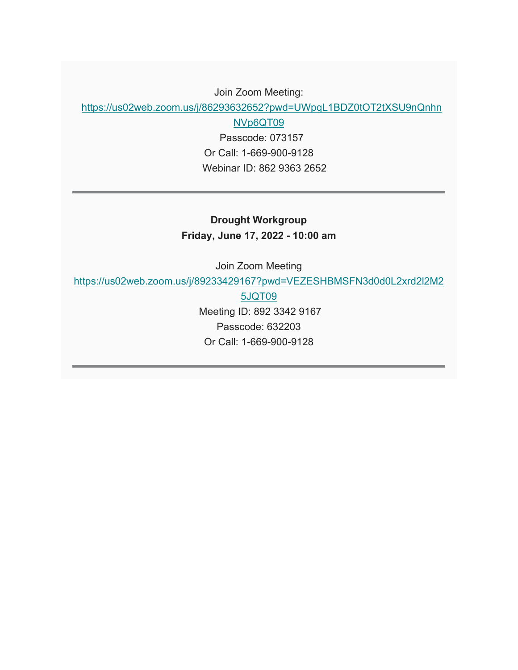#### Join Zoom Meeting:

[https://us02web.zoom.us/j/86293632652?pwd=UWpqL1BDZ0tOT2tXSU9nQnhn](https://us02web.zoom.us/j/86293632652?pwd=UWpqL1BDZ0tOT2tXSU9nQnhnNVp6QT09)

[NVp6QT09](https://us02web.zoom.us/j/86293632652?pwd=UWpqL1BDZ0tOT2tXSU9nQnhnNVp6QT09)

 Passcode: 073157 Or Call: 1-669-900-9128 Webinar ID: 862 9363 2652

**Drought Workgroup Friday, June 17, 2022 - 10:00 am**

Join Zoom Meeting

[https://us02web.zoom.us/j/89233429167?pwd=VEZESHBMSFN3d0d0L2xrd2l2M2](https://us02web.zoom.us/j/89233429167?pwd=VEZESHBMSFN3d0d0L2xrd2l2M25JQT09)

[5JQT09](https://us02web.zoom.us/j/89233429167?pwd=VEZESHBMSFN3d0d0L2xrd2l2M25JQT09) Meeting ID: 892 3342 9167 Passcode: 632203 Or Call: 1-669-900-9128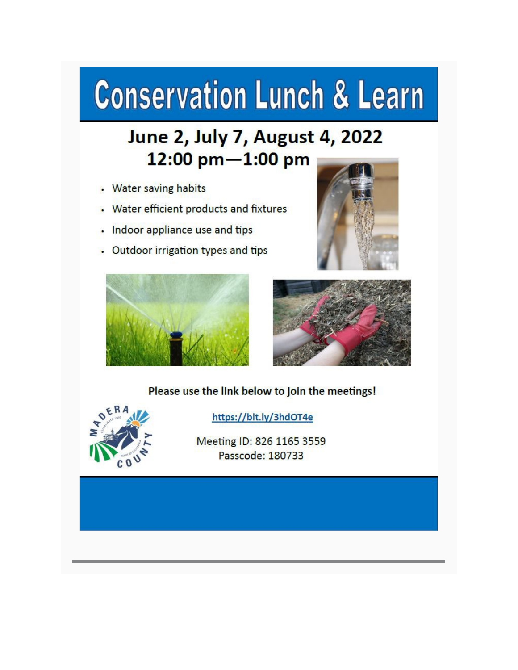# **Conservation Lunch & Learn**

## June 2, July 7, August 4, 2022 12:00 pm-1:00 pm

- **Water saving habits**
- Water efficient products and fixtures
- Indoor appliance use and tips
- Outdoor irrigation types and tips







#### Please use the link below to join the meetings!



https://bit.ly/3hdOT4e

Meeting ID: 826 1165 3559 Passcode: 180733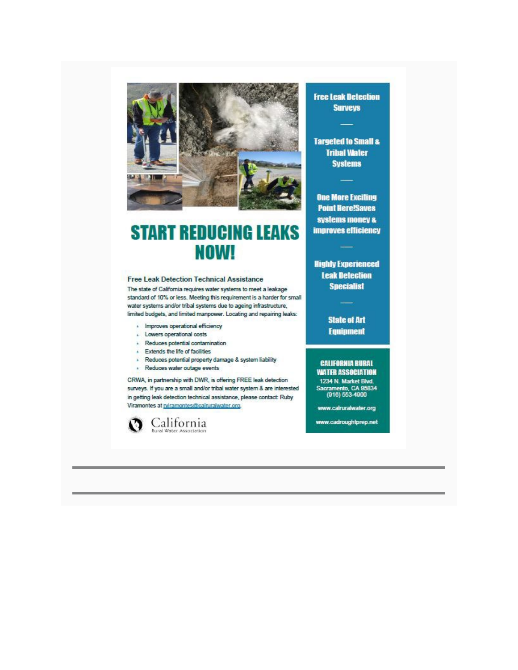

### **START REDUCING LEAKS NOW!**

#### **Free Leak Detection Technical Assistance**

The state of California requires water systems to meet a leakage standard of 10% or less. Meeting this requirement is a harder for small water systems and/or tribal systems due to ageing infrastructure, limited budgets, and limited manpower. Locating and repairing leaks:

- · Improves operational efficiency
- Lowers operational costs
- · Reduces potential contamination
- **Extends the life of facilities**
- · Reduces potential property damage & system liability
- · Reduces water outage events

CRWA, in partnership with DWR, is offering FREE leak detection surveys. If you are a small and/or tribal water system & are interested in getting leak detection technical assistance, please contact: Ruby Viramontes at priramontes@calruralwater.org.



**Free Leak Detection Surveys** 

**Targeted to Small & Tribal Water Systems** 

**One More Exciting Point Here!Saves** systems money & **improves efficiency** 

**Highly Experienced Leak Detection Specialist** 

> **State of Art Equipment**

#### **CALIFORNIA RURAL WATER ASSOCIATION**

1234 N. Market Blvd.<br>Sacramento, CA 95834<br>(916) 553-4900

www.calruralwater.org

www.cadroughtprep.net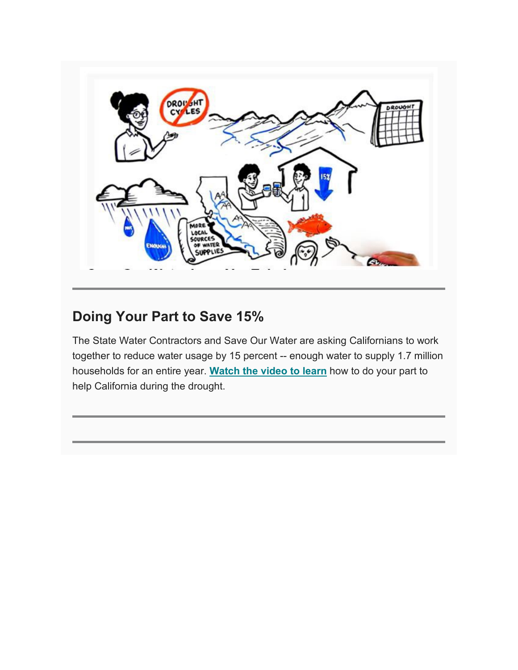

### **Doing Your Part to Save 15%**

The State Water Contractors and Save Our Water are asking Californians to work together to reduce water usage by 15 percent -- enough water to supply 1.7 million households for an entire year. **[Watch the video to learn](https://lnks.gd/l/eyJhbGciOiJIUzI1NiJ9.eyJidWxsZXRpbl9saW5rX2lkIjoxMDgsInVyaSI6ImJwMjpjbGljayIsImJ1bGxldGluX2lkIjoiMjAyMjAzMjIuNTUzMDE2NzEiLCJ1cmwiOiJodHRwczovL3d3dy55b3V0dWJlLmNvbS93YXRjaD91dG1fbWVkaXVtPWVtYWlsJnV0bV9zb3VyY2U9Z292ZGVsaXZlcnkmdj1jZFlQdF9QY3JUWSJ9.4_6Q-BdQnHGHq33CtIidAgLhuYfbNoFoYk7fJoQdTUU/s/2145089632/br/128490458210-l)** how to do your part to help California during the drought.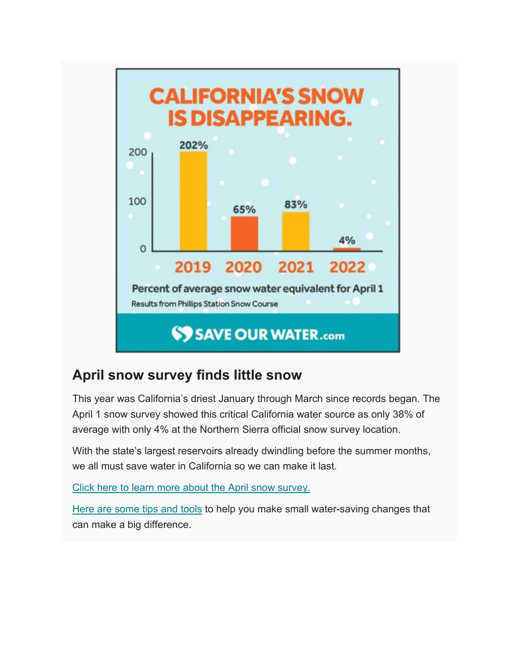

### **April snow survey finds little snow**

This year was California's driest January through March since records began. The April 1 snow survey showed this critical California water source as only 38% of average with only 4% at the Northern Sierra official snow survey location.

With the state's largest reservoirs already dwindling before the summer months, we all must save water in California so we can make it last.

[Click here to learn more about the April snow survey.](https://lnks.gd/l/eyJhbGciOiJIUzI1NiJ9.eyJidWxsZXRpbl9saW5rX2lkIjoxMDAsInVyaSI6ImJwMjpjbGljayIsImJ1bGxldGluX2lkIjoiMjAyMjA0MjkuNTcxOTUxODEiLCJ1cmwiOiJodHRwczovL3NhdmVvdXJ3YXRlci5jb20vTmV3cy1hbmQtRXZlbnRzL0xhdGVzdC1OZXdzL0FwcmlsLVNub3ctU3VydmV5P3V0bV9tZWRpdW09ZW1haWwmdXRtX3NvdXJjZT1nb3ZkZWxpdmVyeSJ9.ysgOd7R6XBEd_smJH95zVcPew4c929b-U8CTxoHEp9s/s/2145089632/br/130594533597-l)

[Here are some tips and tools](https://lnks.gd/l/eyJhbGciOiJIUzI1NiJ9.eyJidWxsZXRpbl9saW5rX2lkIjoxMDEsInVyaSI6ImJwMjpjbGljayIsImJ1bGxldGluX2lkIjoiMjAyMjA0MjkuNTcxOTUxODEiLCJ1cmwiOiJodHRwczovL3NhdmVvdXJ3YXRlci5jb20vP3V0bV9tZWRpdW09ZW1haWwmdXRtX3NvdXJjZT1nb3ZkZWxpdmVyeSJ9.q4m327EQCClLlpBU2q-yuJJN01usxi2J8YNqLzNyY4A/s/2145089632/br/130594533597-l) to help you make small water-saving changes that can make a big difference.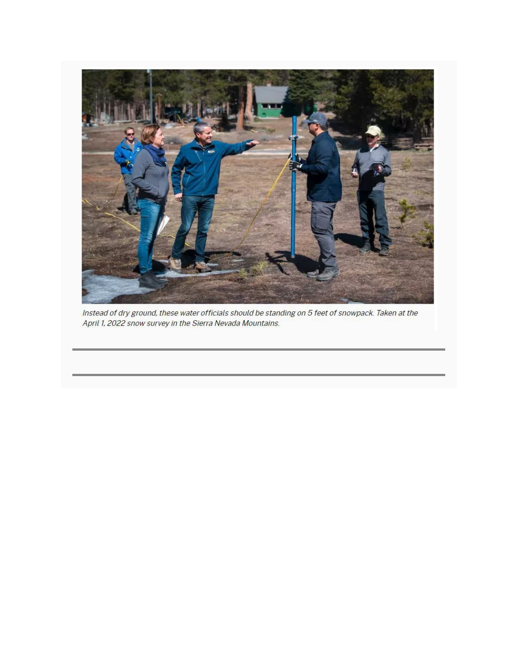

Instead of dry ground, these water officials should be standing on 5 feet of snowpack. Taken at the April 1, 2022 snow survey in the Sierra Nevada Mountains.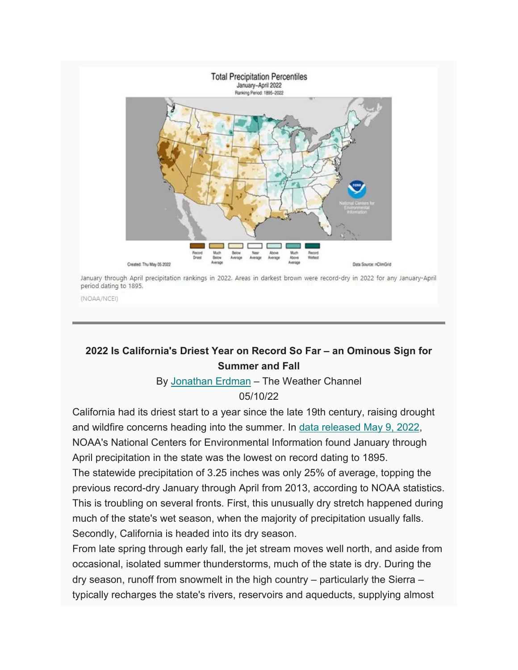

January through April precipitation rankings in 2022. Areas in darkest brown were record-dry in 2022 for any January-April period dating to 1895.

(NOAA/NCEI)

#### **2022 Is California's Driest Year on Record So Far – an Ominous Sign for Summer and Fall**

By [Jonathan Erdman](https://weather.com/bios/news/2018-08-21-jonathan-erdman) – The Weather Channel

#### 05/10/22

California had its driest start to a year since the late 19th century, raising drought and wildfire concerns heading into the summer. In [data released May 9, 2022,](https://www.ncei.noaa.gov/access/monitoring/us-maps/ytd/202204) NOAA's National Centers for Environmental Information found January through April precipitation in the state was the lowest on record dating to 1895.

The statewide precipitation of 3.25 inches was only 25% of average, topping the previous record-dry January through April from 2013, according to NOAA statistics. This is troubling on several fronts. First, this unusually dry stretch happened during much of the state's wet season, when the majority of precipitation usually falls. Secondly, California is headed into its dry season.

From late spring through early fall, the jet stream moves well north, and aside from occasional, isolated summer thunderstorms, much of the state is dry. During the dry season, runoff from snowmelt in the high country – particularly the Sierra – typically recharges the state's rivers, reservoirs and aqueducts, supplying almost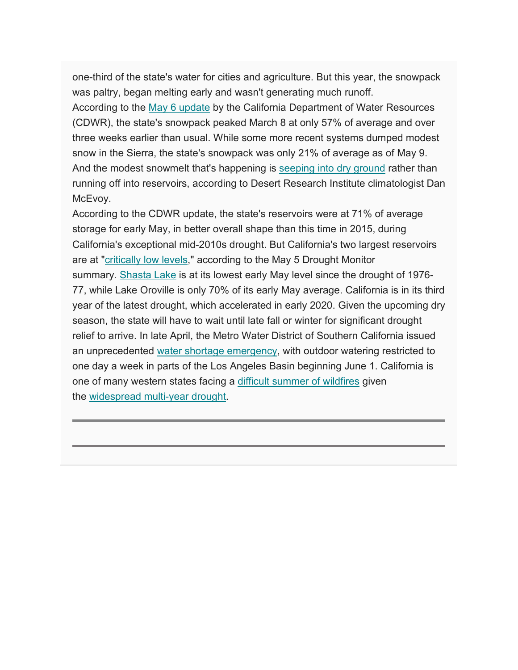one-third of the state's water for cities and agriculture. But this year, the snowpack was paltry, began melting early and wasn't generating much runoff.

According to the [May 6 update](https://cww.water.ca.gov/resources/images/Latest_State_Hydrology_Update.pdf?_=2022-05-06) by the California Department of Water Resources (CDWR), the state's snowpack peaked March 8 at only 57% of average and over three weeks earlier than usual. While some more recent systems dumped modest snow in the Sierra, the state's snowpack was only 21% of average as of May 9. And the modest snowmelt that's happening is [seeping into dry ground](https://twitter.com/samcken64/status/1507577895299923974) rather than running off into reservoirs, according to Desert Research Institute climatologist Dan McEvoy.

According to the CDWR update, the state's reservoirs were at 71% of average storage for early May, in better overall shape than this time in 2015, during California's exceptional mid-2010s drought. But California's two largest reservoirs are at ["critically low levels,](https://droughtmonitor.unl.edu/)" according to the May 5 Drought Monitor summary. [Shasta Lake](https://cdec.water.ca.gov/resapp/ResDetail?resid=SHA) is at its lowest early May level since the drought of 1976- 77, while Lake Oroville is only 70% of its early May average. California is in its third year of the latest drought, which accelerated in early 2020. Given the upcoming dry season, the state will have to wait until late fall or winter for significant drought relief to arrive. In late April, the Metro Water District of Southern California issued an unprecedented [water shortage emergency,](https://www.latimes.com/california/story/2022-04-26/mwd-declares-water-emergency-and-restricts-outdoor-watering) with outdoor watering restricted to one day a week in parts of the Los Angeles Basin beginning June 1. California is one of many western states facing a [difficult summer of wildfires](https://weather.com/news/news/2022-05-03-spring-summer-wildfire-outlook) given the [widespread multi-year drought.](https://droughtmonitor.unl.edu/)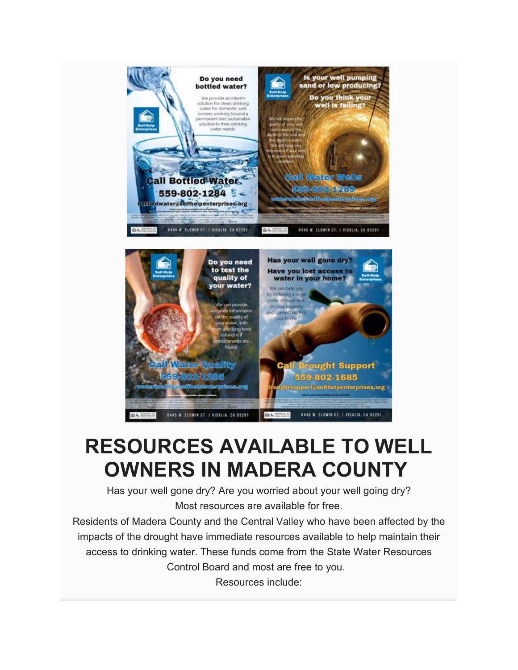

# **RESOURCES AVAILABLE TO WELL OWNERS IN MADERA COUNTY**

**@A CONSUL** 

all Drought Support 559-802-1685 htsuppert ase!thelpenterprises.org

BAAS W. ELOWIN CT., I VISALIA, CA 93291

ound

**sillidw** 

**News** (6)

**BAAS W. ELOWIN CT. I VISALIA, CA 83291** 

Has your well gone dry? Are you worried about your well going dry? Most resources are available for free.

Residents of Madera County and the Central Valley who have been affected by the impacts of the drought have immediate resources available to help maintain their access to drinking water. These funds come from the State Water Resources Control Board and most are free to you. Resources include: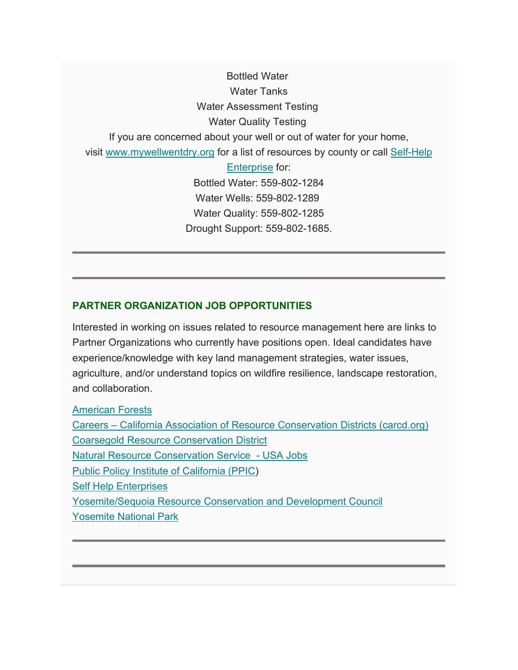Bottled Water Water Tanks Water Assessment Testing Water Quality Testing If you are concerned about your well or out of water for your home, visit [www.mywellwentdry.org](http://www.mywellwentdry.org/) for a list of resources by county or call Self-Help [Enterprise](https://maderacountywater.us19.list-manage.com/track/click?u=58cfa0ba8c3919b95f24fac11&id=6c9c270fa2&e=f787005428) for: Bottled Water: 559-802-1284 Water Wells: 559-802-1289 Water Quality: 559-802-1285 Drought Support: 559-802-1685.

#### **PARTNER ORGANIZATION JOB OPPORTUNITIES**

Interested in working on issues related to resource management here are links to Partner Organizations who currently have positions open. Ideal candidates have experience/knowledge with key land management strategies, water issues, agriculture, and/or understand topics on wildfire resilience, landscape restoration, and collaboration.

[American Forests](https://www.americanforests.org/jobs/)

Careers – [California Association of Resource Conservation Districts \(carcd.org\)](https://carcd.org/about-us/careers/) [Coarsegold Resource Conservation District](https://crcd.org/jobs/) [Natural Resource Conservation Service](https://www.usajobs.gov/) - USA Jobs [Public Policy Institute of California \(PPIC\)](https://www.ppic.org/about-ppic/careers/) [Self Help Enterprises](https://www.selfhelpenterprises.org/get-involved/#career-opportunities) [Yosemite/Sequoia Resource Conservation and Development Council](https://ysrcandd.org/get-involved/careers/) [Yosemite National Park](https://www.usajobs.gov/job/636931500)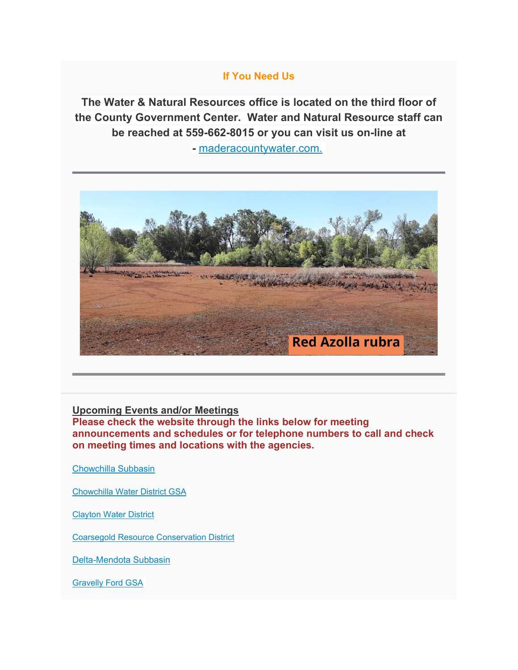#### **If You Need Us**

**The Water & Natural Resources office is located on the third floor of the County Government Center. Water and Natural Resource staff can be reached at 559-662-8015 or you can visit us on-line at** 

**-** [maderacountywater.com.](https://www.maderacountywater.com/)



#### **Upcoming Events and/or Meetings**

**Please check the website through the links below for meeting announcements and schedules or for telephone numbers to call and check on meeting times and locations with the agencies.**

[Chowchilla Subbasin](https://www.maderacountywater.com/chowchilla-subbasin/)

[Chowchilla Water District GSA](https://www.cwdwater.com/index.php/sustainable-groundwater-management-act/122-cwd-sustainable-groundwater-management-act)

[Clayton Water District](https://claytonwd.com/)

[Coarsegold Resource Conservation District](http://www.crcd.org/)

[Delta-Mendota Subbasin](http://deltamendota.org/)

[Gravelly Ford GSA](http://gravellyfordwaterdistrict.com/gsp-gsa.html)